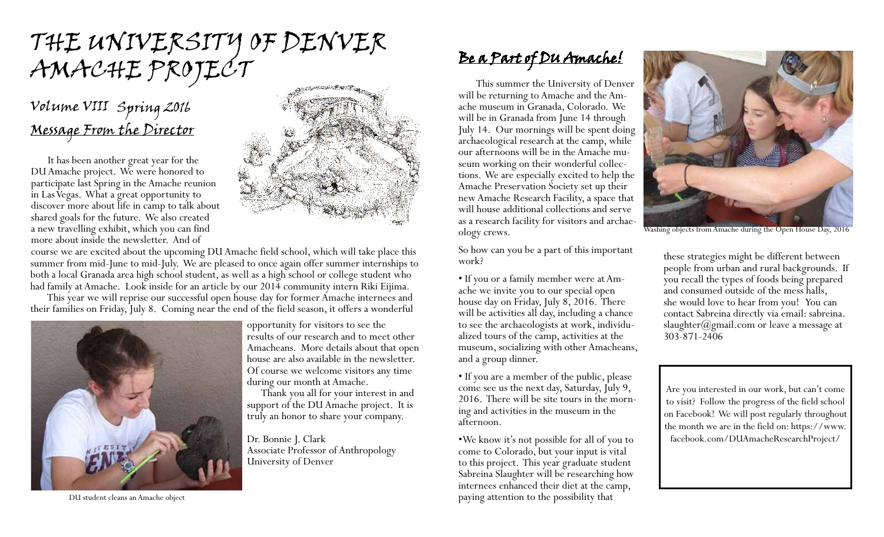# the university of denver AMACHE PROJECT

## Message From the Director Volume VIII Spring 2016

It has been another great year for the DU Amache project. We were honored to participate last Spring in the Amache reunion in Las Vegas. What a great opportunity to discover more about life in camp to talk about shared goals for the future. We also created a new travelling exhibit, which you can find more about inside the newsletter. And of



course we are excited about the upcoming DU Amache field school, which will take place this summer from mid-June to mid-July. We are pleased to once again offer summer internships to both a local Granada area high school student, as well as a high school or college student who had family at Amache. Look inside for an article by our 2014 community intern Riki Eijima.

This year we will reprise our successful open house day for former Amache internees and their families on Friday, July 8. Coming near the end of the field season, it offers a wonderful



opportunity for visitors to see the results of our research and to meet other Amacheans. More details about that open house are also available in the newsletter. Of course we welcome visitors any time during our month at Amache.

Thank you all for your interest in and support of the DU Amache project. It is truly an honor to share your company.

Dr. Bonnie J. Clark Associate Professor of Anthropology University of Denver

### Be a Part of DU Amache!

This summer the University of Denver will be returning to Amache and the Amache museum in Granada, Colorado. We will be in Granada from June 14 through July 14. Our mornings will be spent doing archaeological research at the camp, while our afternoons will be in the Amache museum working on their wonderful collec- tions. We are especially excited to help the Amache Preservation Society set up their new Amache Research Facility, a space that will house additional collections and serve as a research facility for visitors and archae- ology crews.

So how can you be a part of this important work?

• If you or a family member were at Am- ache we invite you to our special open house day on Friday, July 8, 2016. There will be activities all day, including a chance to see the archaeologists at work, individu- alized tours of the camp, activities at the museum, socializing with other Amacheans, and a group dinner.

• If you are a member of the public, please come see us the next day, Saturday, July 9, 2016. There will be site tours in the morning and activities in the museum in the afternoon.

•We know it's not possible for all of you to come to Colorado, but your input is vital to this project. This year graduate student Sabreina Slaughter will be researching how internees enhanced their diet at the camp, paying attention to the possibility that



Washing objects from Amache during the Open House Day, 2016

these strategies might be different between people from urban and rural backgrounds. If you recall the types of foods being prepared and consumed outside of the mess halls, she would love to hear from you! You can contact Sabreina directly via email: sabreina. slaughter $(\partial g$ mail.com or leave a message at 303-871-2406

Are you interested in our work, but can't come to visit? Follow the progress of the field school on Facebook! We will post regularly throughout the month we are in the field on: https://www. facebook.com/DUAmacheResearchProject/

DU student cleans an Amache object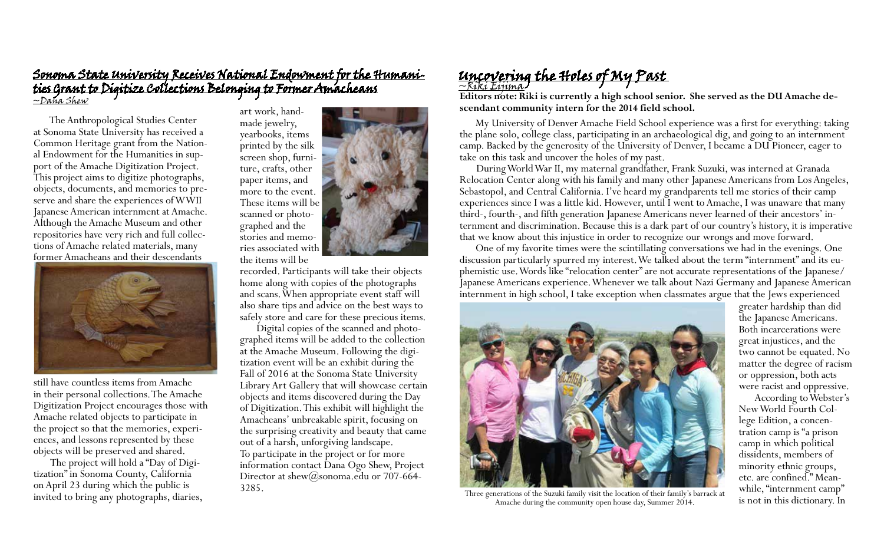#### Sonoma State University Receives National Endowment for the Humanities Grant to Digitize Collections Belonging to Former Amacheans ~Dana Shew

The Anthropological Studies Center at Sonoma State University has received a Common Heritage grant from the National Endowment for the Humanities in support of the Amache Digitization Project. This project aims to digitize photographs, objects, documents, and memories to pre- serve and share the experiences of WWII Japanese American internment at Amache. Although the Amache Museum and other repositories have very rich and full collections of Amache related materials, many former Amacheans and their descendants



still have countless items from Amache in their personal collections. The Amache Digitization Project encourages those with Amache related objects to participate in the project so that the memories, experiences, and lessons represented by these objects will be preserved and shared.

The project will hold a "Day of Digi- tization" in Sonoma County, California on April 23 during which the public is invited to bring any photographs, diaries, art work, handmade jewelry, yearbooks, items printed by the silk screen shop, furniture, crafts, other paper items, and more to the event. These items will be scanned or photographed and the stories and memories associated with the items will be



recorded. Participants will take their objects home along with copies of the photographs and scans. When appropriate event staff will also share tips and advice on the best ways to safely store and care for these precious items.

Digital copies of the scanned and photographed items will be added to the collection at the Amache Museum. Following the digitization event will be an exhibit during the Fall of 2016 at the Sonoma State University Library Art Gallery that will showcase certain objects and items discovered during the Day of Digitization. This exhibit will highlight the Amacheans' unbreakable spirit, focusing on the surprising creativity and beauty that came out of a harsh, unforgiving landscape. To participate in the project or for more information contact Dana Ogo Shew, Project Director at shew@sonoma.edu or 707-664-3285.

## Uncovering the Holes of My Past

**Editors note: Riki is currently a high school senior. She served as the DU Amache descendant community intern for the 2014 field school.**

My University of Denver Amache Field School experience was a first for everything: taking the plane solo, college class, participating in an archaeological dig, and going to an internment camp. Backed by the generosity of the University of Denver, I became a DU Pioneer, eager to take on this task and uncover the holes of my past.

During World War II, my maternal grandfather, Frank Suzuki, was interned at Granada Relocation Center along with his family and many other Japanese Americans from Los Angeles, Sebastopol, and Central California. I've heard my grandparents tell me stories of their camp experiences since I was a little kid. However, until I went to Amache, I was unaware that many third-, fourth-, and fifth generation Japanese Americans never learned of their ancestors' internment and discrimination. Because this is a dark part of our country's history, it is imperative that we know about this injustice in order to recognize our wrongs and move forward.

One of my favorite times were the scintillating conversations we had in the evenings. One discussion particularly spurred my interest. We talked about the term "internment" and its eu- phemistic use. Words like "relocation center" are not accurate representations of the Japanese/ Japanese Americans experience. Whenever we talk about Nazi Germany and Japanese American internment in high school, I take exception when classmates argue that the Jews experienced



Three generations of the Suzuki family visit the location of their family's barrack at Amache during the community open house day, Summer 2014.

greater hardship than did the Japanese Americans. Both incarcerations were great injustices, and the two cannot be equated. No matter the degree of racism or oppression, both acts were racist and oppressive.

According to Webster's New World Fourth Col- lege Edition, a concen- tration camp is "a prison camp in which political dissidents, members of minority ethnic groups, etc. are confined." Mean while, "internment camp"<br>is not in this dictionary. In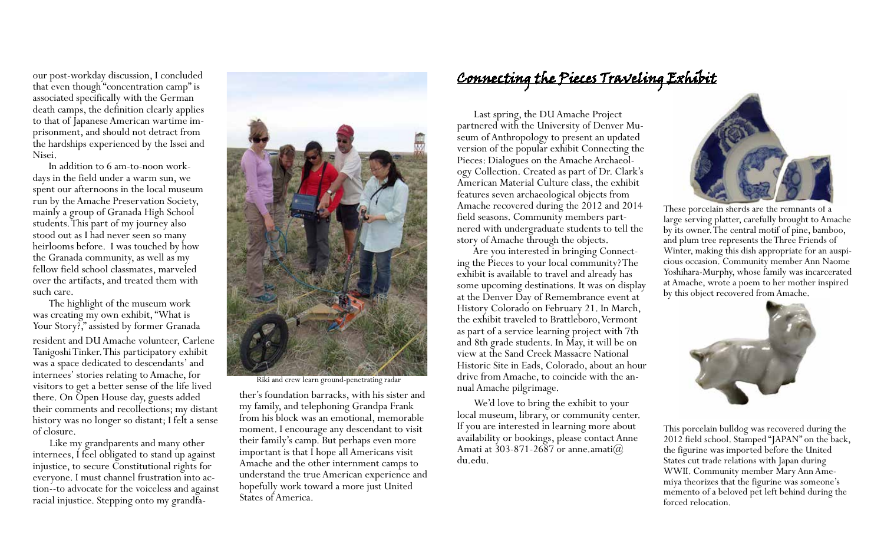our post-workday discussion, I concluded that even though "concentration camp" is associated specifically with the German death camps, the definition clearly applies to that of Japanese American wartime imprisonment, and should not detract from the hardships experienced by the Issei and Nisei.

In addition to 6 am-to-noon work- days in the field under a warm sun, we spent our afternoons in the local museum run by the Amache Preservation Society, mainly a group of Granada High School students. This part of my journey also stood out as I had never seen so many heirlooms before. I was touched by how the Granada community, as well as my fellow field school classmates, marveled over the artifacts, and treated them with such care.

The highlight of the museum work was creating my own exhibit, "What is Your Story?," assisted by former Granada resident and DU Amache volunteer, Carlene Tanigoshi Tinker. This participatory exhibit was a space dedicated to descendants' and internees' stories relating to Amache, for visitors to get a better sense of the life lived there. On Open House day, guests added their comments and recollections; my distant history was no longer so distant; I felt a sense of closure.

Like my grandparents and many other internees, I feel obligated to stand up against injustice, to secure Constitutional rights for everyone. I must channel frustration into action--to advocate for the voiceless and against racial injustice. Stepping onto my grandfa-



Riki and crew learn ground-penetrating radar

ther's foundation barracks, with his sister and my family, and telephoning Grandpa Frank from his block was an emotional, memorable moment. I encourage any descendant to visit their family's camp. But perhaps even more important is that I hope all Americans visit Amache and the other internment camps to understand the true American experience and hopefully work toward a more just United States of America.

### Connecting the Pieces Traveling Exhibit

Last spring, the DU Amache Project partnered with the University of Denver Museum of Anthropology to present an updated version of the popular exhibit Connecting the ogy Collection. Created as part of Dr. Clark's American Material Culture class, the exhibit features seven archaeological objects from Amache recovered during the 2012 and 2014 field seasons. Community members part- nered with undergraduate students to tell the story of Amache through the objects.

Are you interested in bringing Connecting the Pieces to your local community? The exhibit is available to travel and already has some upcoming destinations. It was on display at the Denver Day of Remembrance event at History Colorado on February 21. In March, the exhibit traveled to Brattleboro, Vermont as part of a service learning project with 7th and 8th grade students. In May, it will be on view at the Sand Creek Massacre National Historic Site in Eads, Colorado, about an hour drive from Amache, to coincide with the an- nual Amache pilgrimage.

We'd love to bring the exhibit to your local museum, library, or community center. If you are interested in learning more about availability or bookings, please contact Anne Amati at  $303-871-2687$  or anne.amati $@$ du.edu.



These porcelain sherds are the remnants of a large serving platter, carefully brought to Amache by its owner. The central motif of pine, bamboo, and plum tree represents the Three Friends of Winter, making this dish appropriate for an auspicious occasion. Community member Ann Naome Yoshihara-Murphy, whose family was incarcerated at Amache, wrote a poem to her mother inspired by this object recovered from Amache.



This porcelain bulldog was recovered during the 2012 field school. Stamped "JAPAN" on the back, the figurine was imported before the United States cut trade relations with Japan during WWII. Community member Mary Ann Amemiya theorizes that the figurine was someone's memento of a beloved pet left behind during the forced relocation.